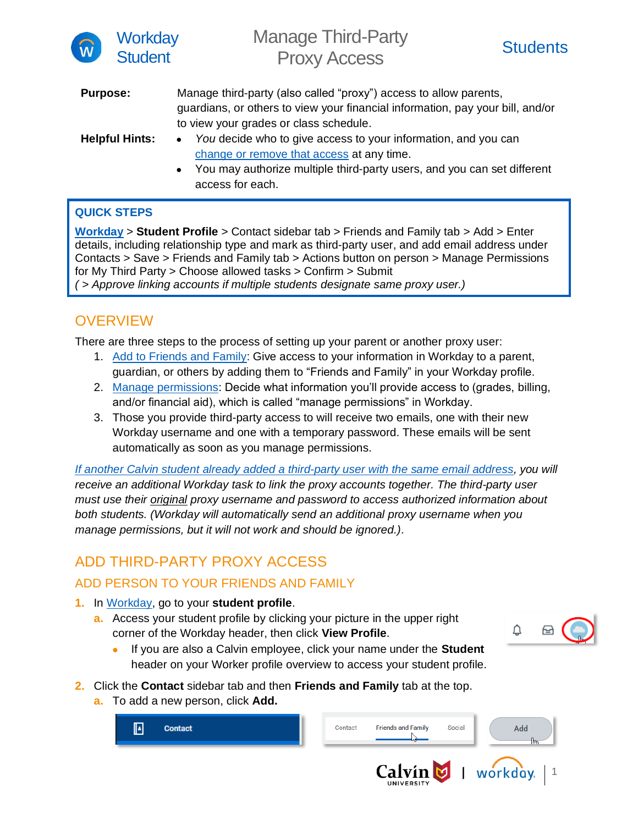

Manage Third-Party **Proxy Access** Students



| <b>Purpose:</b>       | Manage third-party (also called "proxy") access to allow parents,              |
|-----------------------|--------------------------------------------------------------------------------|
|                       | guardians, or others to view your financial information, pay your bill, and/or |
|                       | to view your grades or class schedule.                                         |
| <b>Helpful Hints:</b> | You decide who to give access to your information, and you can                 |
|                       | change or remove that access at any time.                                      |
|                       | You may authorize multiple third-party users, and you can set different        |

l<del>e</del> lilliu-party users, and y access for each.

#### **QUICK STEPS**

**[Workday](http://workday.calvin.edu/)** > **Student Profile** > Contact sidebar tab > Friends and Family tab > Add > Enter details, including relationship type and mark as third-party user, and add email address under Contacts > Save > Friends and Family tab > Actions button on person > Manage Permissions for My Third Party > Choose allowed tasks > Confirm > Submit *( > Approve linking accounts if multiple students designate same proxy user.)*

### **OVERVIEW**

There are three steps to the process of setting up your parent or another proxy user:

- 1. Add to [Friends and Family:](#page-0-0) Give access to your information in Workday to a parent, guardian, or others by adding them to "Friends and Family" in your Workday profile.
- 2. [Manage permissions:](#page-1-0) Decide what information you'll provide access to (grades, billing, and/or financial aid), which is called "manage permissions" in Workday.
- 3. Those you provide third-party access to will receive two emails, one with their new Workday username and one with a temporary password. These emails will be sent automatically as soon as you manage permissions.

*If another Calvin student already added a third-party [user with the same email address,](#page-1-1) you will receive an additional Workday task to link the proxy accounts together. The third-party user must use their original proxy username and password to access authorized information about both students. (Workday will automatically send an additional proxy username when you manage permissions, but it will not work and should be ignored.).*

## ADD THIRD-PARTY PROXY ACCESS

#### <span id="page-0-0"></span>ADD PERSON TO YOUR FRIENDS AND FAMILY

- **1.** In [Workday,](http://workday.calvin.edu/) go to your **student profile**.
	- **a.** Access your student profile by clicking your picture in the upper right corner of the Workday header, then click **View Profile**.



- If you are also a Calvin employee, click your name under the **Student** header on your Worker profile overview to access your student profile.
- **2.** Click the **Contact** sidebar tab and then **Friends and Family** tab at the top.
	- **a.** To add a new person, click **Add.**

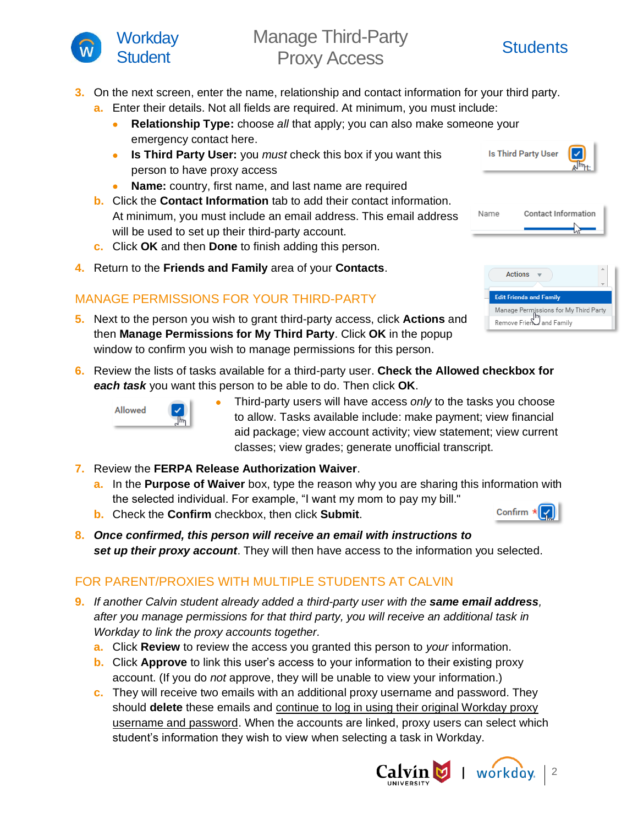

# Manage Third-Party **Proxy Access** Students

- **3.** On the next screen, enter the name, relationship and contact information for your third party.
	- **a.** Enter their details. Not all fields are required. At minimum, you must include:
		- **Relationship Type:** choose *all* that apply; you can also make someone your emergency contact here.
		- **Is Third Party User:** you *must* check this box if you want this person to have proxy access
		- **Name:** country, first name, and last name are required
	- **b.** Click the **Contact Information** tab to add their contact information. At minimum, you must include an email address. This email address will be used to set up their third-party account.
	- **c.** Click **OK** and then **Done** to finish adding this person.
- **4.** Return to the **Friends and Family** area of your **Contacts**.

#### <span id="page-1-0"></span>MANAGE PERMISSIONS FOR YOUR THIRD-PARTY

- **5.** Next to the person you wish to grant third-party access, click **Actions** and then **Manage Permissions for My Third Party**. Click **OK** in the popup window to confirm you wish to manage permissions for this person.
- **6.** Review the lists of tasks available for a third-party user. **Check the Allowed checkbox for**  *each task* you want this person to be able to do. Then click **OK**.



- Third-party users will have access *only* to the tasks you choose to allow. Tasks available include: make payment; view financial aid package; view account activity; view statement; view current classes; view grades; generate unofficial transcript.
- **7.** Review the **FERPA Release Authorization Waiver**.
	- **a.** In the **Purpose of Waiver** box, type the reason why you are sharing this information with the selected individual. For example, "I want my mom to pay my bill."
	- **b.** Check the **Confirm** checkbox, then click **Submit**.
- **8.** *Once confirmed, this person will receive an email with instructions to set up their proxy account*. They will then have access to the information you selected.

#### <span id="page-1-1"></span>FOR PARENT/PROXIES WITH MULTIPLE STUDENTS AT CALVIN

- **9.** *If another Calvin student already added a third-party user with the same email address, after you manage permissions for that third party, you will receive an additional task in Workday to link the proxy accounts together.* 
	- **a.** Click **Review** to review the access you granted this person to *your* information.
	- **b.** Click **Approve** to link this user's access to your information to their existing proxy account. (If you do *not* approve, they will be unable to view your information.)
	- **c.** They will receive two emails with an additional proxy username and password. They should **delete** these emails and continue to log in using their original Workday proxy username and password. When the accounts are linked, proxy users can select which student's information they wish to view when selecting a task in Workday.



| <b>Is Third Party User</b> | $\mathbb{A}^{\mathsf{Im}_{1}}$ |
|----------------------------|--------------------------------|
|----------------------------|--------------------------------|

| Name | Contact Information |
|------|---------------------|
|      |                     |

| <b>Actions</b>                        |  |
|---------------------------------------|--|
| <b>Edit Friends and Family</b>        |  |
| Manage Permissions for My Third Party |  |
| Remove Friend and Family              |  |